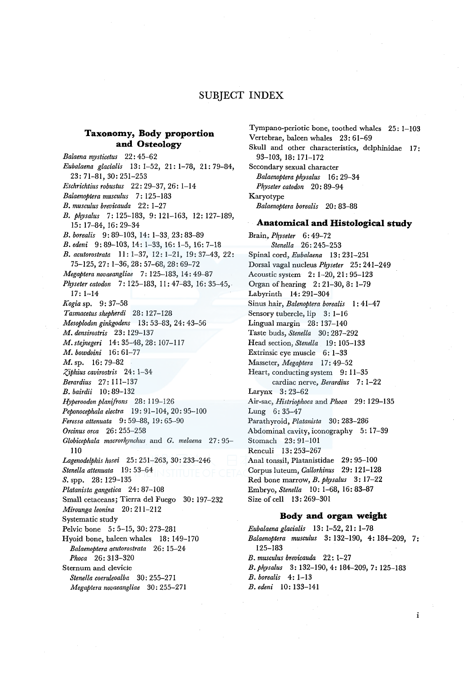# SUBJECT INDEX

## **Taxonomy, Body proportion and Osteology**

*Balaena mysticetus* 22: 45-62 *Eubalaena glacialis* 13: 1-52, 21: 1-78, 21: 79-84, 23: 71-81, 30: 251-253 *Eschrichtius robustus* 22: 29-37, 26: 1-14 *Balaenoptera musculus* 7: 125-183 *B. musculus brevicauda* 22: 1-27 *B. physalus* 7: 125-183, 9: 121-163, 12: 127-189, 15: 17-84, 16: 29-34 *B. borealis* 9: 89-103, 14: 1-33, 23: 83-89 *B. edeni* 9: 89-103, 14: 1-33, 16: 1-5, 16: 7-18 *B. acutorostrata* 11: 1-37, 12: 1-21, 19: 37-43, 22: 75-125, 27: 1-36, 28: 57-68; 28: 69-72 *Megaptera novaeangliae* 7: 125-183, 14: 49-87 *Physeter catodon* 7: 125-183, 11: 47-83, 16: 35-45, 17: 1-14 *Kogia* sp. 9: 37-58 *Tasmacetus shepherdi* 28: 127-128 *Mesoplodon ginkgodens* 13: 53-83, 2 4: 43-56 *M. densirostris* 23: 129-137 *M.stejnegeri* 14: 35-48, 28: 107-117 *M. bowdoini* 16: 61-77 M. sp. 16: 79-82 *Z,iphius cavirostris* 2 4: 1-34 *Berardius* 27: 111-137 *B. bairdii* 10: 89-132 *Hyperoodon planifrons* 28: 119-126 *Peponocephala electra* 19: 91-104, 20: 95-100 *Feressa attenuata* 9: 59-88, 19: 65-90 *Orcinus orca* 26: 255-258 *Globicephala macrorhynchus* and *G. melaena* 27: 95- 110 *Lagenodelphis hosei* 25: 251-263, 30: 233-246 *Stenella attenuata* I 9: 53-64 S. spp. 28: 129-135 *Platanista gangetica* 24: 87-108 Small cetaceans; Tierra del Fuego 30: 197-232 *Mirounga leonina* 20: 211-212 Systematic study Pelvic bone 5: 5-15, 30: 273-281 Hyoid bone, baleen whales 18: 149-170 *Balaenoptera acutorostrata* 26: 15-24 *Phoca* 26: 313-320 Sternum and clevicie *Stene/la coeruleoalba* 30: 255-271 *Megaptera novaeangliae* 30: 255-271

Tympano-periotic bone, toothed whales 25: 1-103 Vertebrae, baleen whales 23: 61-69 Skull and other characteristics, delphinidae 17: 93-103, 18: 171-172 Secondary sexual character *Balaenoptera physalus* 16: 29-34 *Pkyseter catodon* 20: 89-94 Karyotype *Balaenoptera borealis* 20: 83-88 **Anatomical and Histological study** 

Brain, *Pkvseter* 6: 49-72 *Stenella* 26: 245-253 Spinal cord, *Eubalaena* 13: 231-251 Dorsal vagal nucleus *Physeter* 25: 241-249 Acoustic system 2: 1-20, 21: 95-123 Organ of hearing 2: 21-30, 8: 1-79 Labyrinth 14: 291-304 Sinus hair, *Balenoptera borealis* I: 41-47 Sensory tubercle, lip 3: 1-16 Lingual margin 28: 137-140 Taste buds, *Stenella* 30: 287-292 Head section, *Stenella* 19:105-133 Extrinsic eye muscle 6: 1-33 Masseter, *Megaptera* 17: 49-52 Heart, conducting system 9: 11-35 cardiac nerve, *Berardius* 7: 1-22 Larynx 3: 23-62 Air-sac, *Histriophoca* and *Phoca* 29: 129-135 Lung 6: 35-47 Parathyroid, *Platanista* 30: 283-286 Abdominal cavity, iconography 5: 17-39 Stomach 23: 91-101 Renculi 13: 253-267 Anal tonssil, Platanistidae 29: 95-100 Corpus luteum, *Callorhinus* 29: 121-128 Red bone marrow, *B. physalus* 3: 17-22 Embryo, *Stenella* 10: 1-68, 16: 83-87 Size of cell 13: 269-301

#### **Body and organ weight**

*Eubalaena glacialis* 13: 1-52, 21: 1-78 *Balaenoptera musculus* 3: 132-190, 4: 184-209, 7: 125-183 *B. musculus brevicauda* 22: 1-27 *B.physalus* 3: 132-190, 4: 184-209, 7: 125-183 *B. borealis* 4: 1-13 *B. edeni* 10: 133-141

 $\mathbf{i}$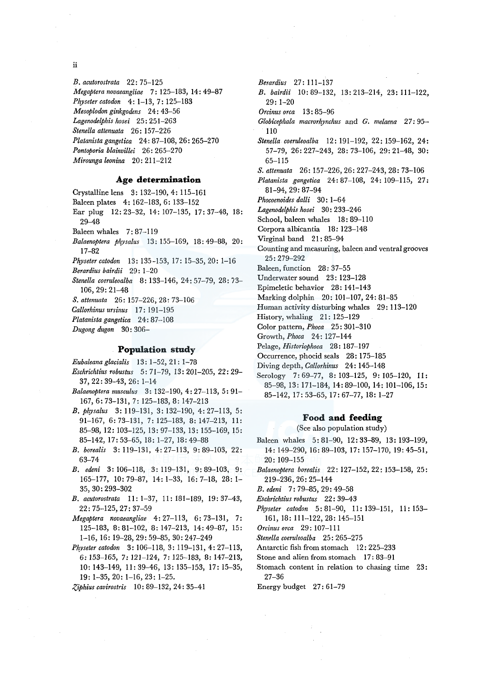ii

*B. acutorostrata* 22: 75-125 *Megaptera novaeangliae* 7: 125-183, 14: 49-87 *Physeter catodon* 4: 1-13, 7: 125-183 *Mesoplodon ginkgodens* 24: 43-56 *Lagenodelphis hosei* 25: 251-263 *Stenella attenuata* 26: 157-226 *Platanista gangetica* 24: 87-108, 26: 265-270 *Pontoporia blainvillei* 26: 265-270 *Mirounga leonina* 20: 211-212

## **Age determination**

Crystalline lens 3: 132-190, 4: 115-161

- Baleen plates 4: 162-183, 6: 133-152
- Ear plug 12: 23-32, 14: 107-135, 17: 37-48, 18: 29-48
- Baleen whales 7:87-119
- *Balaenoptera physalus* 13: 155-169, 18: 49-88, 20: 17-82
- *Physetercatodon* 13: 135-153, 17: 15-35, 20: 1-16
- *Berardius bairdii* 29: 1-20
- *Stenella coeruleoalba* 8: 133-146, 24: 57-79, 28: 73- 106, 29: 21-48
- *S. attenuata* 26: 157-226, 28: 73-106
- *Callorhinus ursinus* 17: 191-195
- *Platanista gangetica* 24: 87-108
- *Dugong dugon* 30: 306-

## **Population study**

*Eubaleana glacialis* 13: 1-52, 21: 1-78

- *Eschrichtius robustus* 5: 71-79, 13: 201-205, 22: 29- 37, 22: 39-43, 26: 1-14
- *Balaenoptera musculus* 3: 132-190, 4: 27-113, 5: 91- 167, 6: 73-131, 7: 125-183, 8: 147-213
- *B. physalus* 3: 119-131, 3: 132-190, 4: 27-113, 5: 91-167, 6: 73-131, 7: 125-183, 8: 147-213, 11: 85-98, 12: 103-125, 13: 97-133, 13: 155-169, 15: 85-142, 17: 53-65, 18: 1-27, 18: 49-88
- *B. borealis* 3: 119-131, 4: 27-113, 9: 89-103, 22: 63-74
- *B. edeni* 3: 106-118, 3: 119-131, 9: 89-103, 9: 165-177, 10: 79-87, 14: 1-33, 16: 7-18, 28: 1-35, 30: 293-302
- *B. acutorostrata* II: 1-37, 11: 181-189, 19: 37-43, 22:75-125,27:37-59
- *Megaptera novaeangliae* 4: 27-113, 6: 73-131, 7: 125-183, 8: 81-102, 8: 147-213, 14: 49-87, 15: 1-16, 16: 19-28,29:59-85, 30:247-249
- *Physeter catodon* 3: 106-118, 3: 119-131, 4: 27-113, 6: 153-165, 7: 121-124, 7: 125-183, 8: 147-213, 10: 143-149, 11: 39-46, 13: 135-153, 17: 15-35, 19: 1-35, 20: 1-16, 23: 1-25.
- *Ziphius cavirostris* 10: 89-132, 24: 35-41

*Berardius* 27: 111-137 *B. bairdii* 10: 89-132, 13: 213-214, 23: 111-122, 29: 1-20 *Orcinus orca* 13: 85-96 *Globicephala macrorhynchus* and *G. melaena* 27: 95- 110 *Stenella coeruleoalba* 12: 191-192, 22: 159-162, 24: 57-79, 26: 227-243, 28: 73-106, 29: 21-48, 30: 65-115 *S. attenuata* 26: 157-226, 26: 227-243, 28: 73-106 *Platanista gangetica* 24: 87-108, 24: 109-115, 27: 81-94, 29: 87-94 *Phocoenoides dalli* 30: 1-64 *Lagenodelphis hosei* 30: 233-246 School, baleen whales 18: 89-110 Corpora albicantia 18: 123-148 Virginal band 21:85-94 Counting and measuring, baleen and ventral grooves 25:279-292 Baleen, function 28: 37-55 Underwater sound 23: 123-128 Epimeletic behavior 28: 141-143 Marking dolphin 20: 101-107, 24: 81-85 Human activity disturbing whales 29: 113-120 History, whaling 21: 125-129 Color pattern, *Phoca* 25: 301-310 Growth, *Phoca* 24: 127-144 Pelage, *Historiophoca* 28: 187-197 Occurrence, phocid seals 28: 175-185 Diving depth, *Callorhinus* 24: 145-148

Serology 7:69-77, 8: 103-125, 9: 105-120, II: 85-98, 13: 171-184, 14: 89-100, 14: 101-106, 15: 85-142, 17: 53-65, 17: 67-77, 18: 1-27

#### **Food and feeding**

(See also population study)

- Baleen whales 5: 81-90, 12: 33-89, 13: 193-199, 14: 149-290, 16: 89-103, 17: 157-170, 19: 45-51, 20: 109-155
- *Balaenoptera borealis* 22: 127-152, 22: 153-158, 25: 219-236,26:25-144

*B. edeni* 7: 79-85, 29: 49-58

- *Eschrichtius robustus* 22: 39-43
- *Physeter catodon* 5: 81-90, 11: 139-151, 11: 153- 161, 18: 111-122, 28: 145-151
- *Orcinus orca* 29: 107-111
- *Stenella coeruleoalba* 25: 265-275
- Antarctic fish from stomach 12: 225-233
- Stone and alien from stomach 17: 83-91
- Stomach content in relation to chasing time 23: 27-36
- Energy budget 27: 61-79